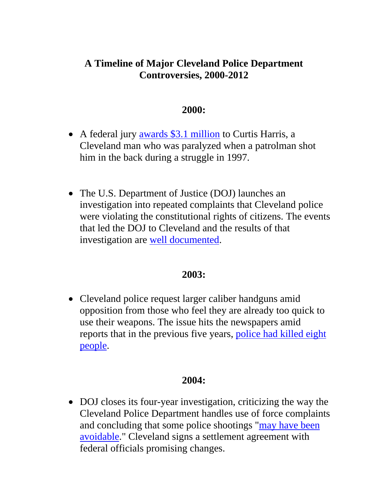# **A Timeline of Major Cleveland Police Department Controversies, 2000-2012**

#### **2000:**

- A federal jury <u>awards \$3.1 million</u> to Curtis Harris, a Cleveland man who was paralyzed when a patrolman shot him in the back during a struggle in 1997.
- The U.S. Department of Justice (DOJ) launches an investigation into repeated complaints that Cleveland police were violating the constitutional rights of citizens. The events that led the DOJ to Cleveland and the results of that investigation are well documented.

#### **2003:**

• Cleveland police request larger caliber handguns amid opposition from those who feel they are already too quick to use their weapons. The issue hits the newspapers amid reports that in the previous five years, police had killed eight people.

## **2004:**

• DOJ closes its four-year investigation, criticizing the way the Cleveland Police Department handles use of force complaints and concluding that some police shootings "may have been avoidable." Cleveland signs a settlement agreement with federal officials promising changes.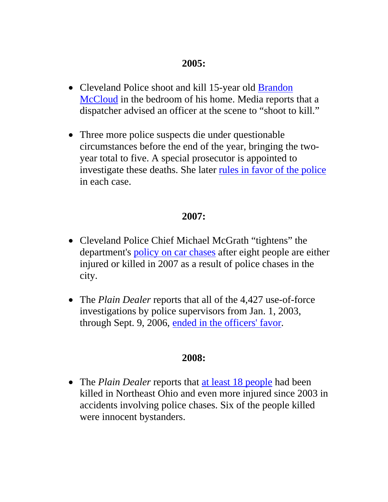## **2005:**

- Cleveland Police shoot and kill 15-year old Brandon McCloud in the bedroom of his home. Media reports that a dispatcher advised an officer at the scene to "shoot to kill."
- Three more police suspects die under questionable circumstances before the end of the year, bringing the twoyear total to five. A special prosecutor is appointed to investigate these deaths. She later rules in favor of the police in each case.

## **2007:**

- Cleveland Police Chief Michael McGrath "tightens" the department's policy on car chases after eight people are either injured or killed in 2007 as a result of police chases in the city.
- The *Plain Dealer* reports that all of the 4,427 use-of-force investigations by police supervisors from Jan. 1, 2003, through Sept. 9, 2006, ended in the officers' favor.

## **2008:**

• The *Plain Dealer* reports that at least 18 people had been killed in Northeast Ohio and even more injured since 2003 in accidents involving police chases. Six of the people killed were innocent bystanders.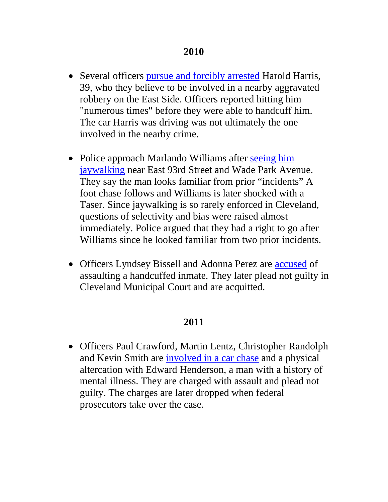- Several officers pursue and forcibly arrested Harold Harris, 39, who they believe to be involved in a nearby aggravated robbery on the East Side. Officers reported hitting him "numerous times" before they were able to handcuff him. The car Harris was driving was not ultimately the one involved in the nearby crime.
- Police approach Marlando Williams after seeing him jaywalking near East 93rd Street and Wade Park Avenue. They say the man looks familiar from prior "incidents" A foot chase follows and Williams is later shocked with a Taser. Since jaywalking is so rarely enforced in Cleveland, questions of selectivity and bias were raised almost immediately. Police argued that they had a right to go after Williams since he looked familiar from two prior incidents.
- Officers Lyndsey Bissell and Adonna Perez are accused of assaulting a handcuffed inmate. They later plead not guilty in Cleveland Municipal Court and are acquitted.

## **2011**

• Officers Paul Crawford, Martin Lentz, Christopher Randolph and Kevin Smith are involved in a car chase and a physical altercation with Edward Henderson, a man with a history of mental illness. They are charged with assault and plead not guilty. The charges are later dropped when federal prosecutors take over the case.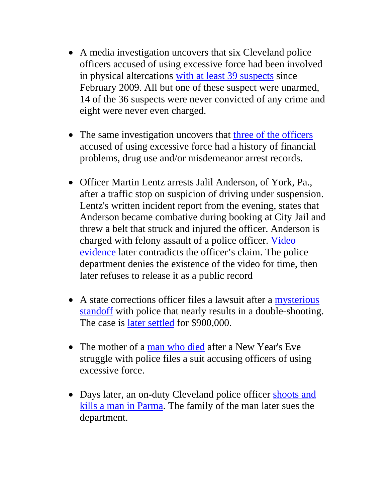- A media investigation uncovers that six Cleveland police officers accused of using excessive force had been involved in physical altercations with at least 39 suspects since February 2009. All but one of these suspect were unarmed, 14 of the 36 suspects were never convicted of any crime and eight were never even charged.
- The same investigation uncovers that three of the officers accused of using excessive force had a history of financial problems, drug use and/or misdemeanor arrest records.
- Officer Martin Lentz arrests Jalil Anderson, of York, Pa., after a traffic stop on suspicion of driving under suspension. Lentz's written incident report from the evening, states that Anderson became combative during booking at City Jail and threw a belt that struck and injured the officer. Anderson is charged with felony assault of a police officer. Video evidence later contradicts the officer's claim. The police department denies the existence of the video for time, then later refuses to release it as a public record
- A state corrections officer files a lawsuit after a mysterious standoff with police that nearly results in a double-shooting. The case is later settled for \$900,000.
- The mother of a man who died after a New Year's Eve struggle with police files a suit accusing officers of using excessive force.
- Days later, an on-duty Cleveland police officer shoots and kills a man in Parma. The family of the man later sues the department.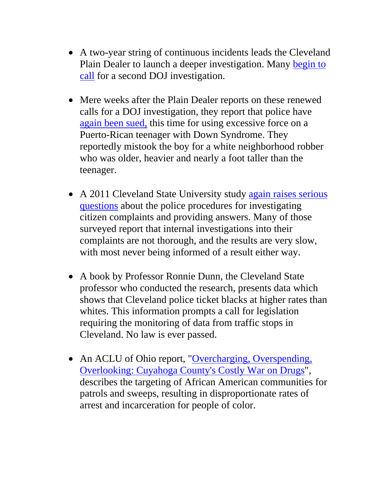- A two-year string of continuous incidents leads the Cleveland Plain Dealer to launch a deeper investigation. Many begin to call for a second DOJ investigation.
- Mere weeks after the Plain Dealer reports on these renewed calls for a DOJ investigation, they report that police have again been sued, this time for using excessive force on a Puerto-Rican teenager with Down Syndrome. They reportedly mistook the boy for a white neighborhood robber who was older, heavier and nearly a foot taller than the teenager.
- A 2011 Cleveland State University study again raises serious questions about the police procedures for investigating citizen complaints and providing answers. Many of those surveyed report that internal investigations into their complaints are not thorough, and the results are very slow, with most never being informed of a result either way.
- A book by Professor Ronnie Dunn, the Cleveland State professor who conducted the research, presents data which shows that Cleveland police ticket blacks at higher rates than whites. This information prompts a call for legislation requiring the monitoring of data from traffic stops in Cleveland. No law is ever passed.
- An ACLU of Ohio report, "Overcharging, Overspending, Overlooking: Cuyahoga County's Costly War on Drugs", describes the targeting of African American communities for patrols and sweeps, resulting in disproportionate rates of arrest and incarceration for people of color.